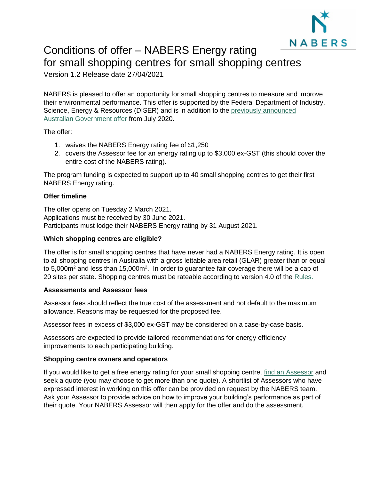

# Conditions of offer – NABERS Energy rating for small shopping centres for small shopping centres

Version 1.2 Release date 27/04/2021

NABERS is pleased to offer an opportunity for small shopping centres to measure and improve their environmental performance. This offer is supported by the Federal Department of Industry, Science, Energy & Resources (DISER) and is in addition to the [previously announced](https://www.nabers.gov.au/about/news/nabers-fee-free-ratings)  [Australian Government offer](https://www.nabers.gov.au/about/news/nabers-fee-free-ratings) from July 2020.

The offer:

- 1. waives the NABERS Energy rating fee of \$1,250
- 2. covers the Assessor fee for an energy rating up to \$3,000 ex-GST (this should cover the entire cost of the NABERS rating).

The program funding is expected to support up to 40 small shopping centres to get their first NABERS Energy rating.

# **Offer timeline**

The offer opens on Tuesday 2 March 2021. Applications must be received by 30 June 2021. Participants must lodge their NABERS Energy rating by 31 August 2021.

# **Which shopping centres are eligible?**

The offer is for small shopping centres that have never had a NABERS Energy rating. It is open to all shopping centres in Australia with a gross lettable area retail (GLAR) greater than or equal to 5,000 $m^2$  and less than 15,000 $m^2$ . In order to guarantee fair coverage there will be a cap of 20 sites per state. Shopping centres must be rateable according to version 4.0 of the [Rules.](https://www.nabers.gov.au/publications/nabers-energy-and-water-shopping-centres-rules)

# **Assessments and Assessor fees**

Assessor fees should reflect the true cost of the assessment and not default to the maximum allowance. Reasons may be requested for the proposed fee.

Assessor fees in excess of \$3,000 ex-GST may be considered on a case-by-case basis.

Assessors are expected to provide tailored recommendations for energy efficiency improvements to each participating building.

# **Shopping centre owners and operators**

If you would like to get a free energy rating for your small shopping centre, [find an Assessor](https://www.nabers.gov.au/ratings/find-an-accredited-assessor) and seek a quote (you may choose to get more than one quote). A shortlist of Assessors who have expressed interest in working on this offer can be provided on request by the NABERS team. Ask your Assessor to provide advice on how to improve your building's performance as part of their quote. Your NABERS Assessor will then apply for the offer and do the assessment.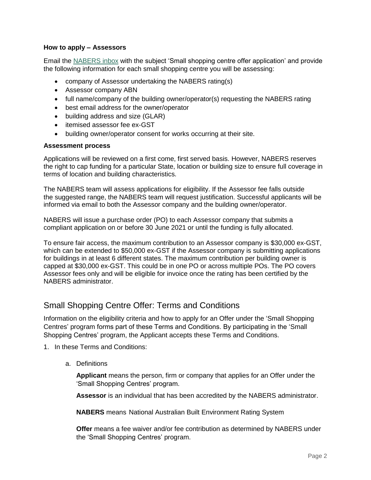#### **How to apply – Assessors**

Email the [NABERS inbox](mailto:nabers@environment.nsw.gov.au) with the subject 'Small shopping centre offer application' and provide the following information for each small shopping centre you will be assessing:

- company of Assessor undertaking the NABERS rating(s)
- Assessor company ABN
- full name/company of the building owner/operator(s) requesting the NABERS rating
- best email address for the owner/operator
- building address and size (GLAR)
- itemised assessor fee ex-GST
- building owner/operator consent for works occurring at their site.

#### **Assessment process**

Applications will be reviewed on a first come, first served basis. However, NABERS reserves the right to cap funding for a particular State, location or building size to ensure full coverage in terms of location and building characteristics.

The NABERS team will assess applications for eligibility. If the Assessor fee falls outside the suggested range, the NABERS team will request justification. Successful applicants will be informed via email to both the Assessor company and the building owner/operator.

NABERS will issue a purchase order (PO) to each Assessor company that submits a compliant application on or before 30 June 2021 or until the funding is fully allocated.

To ensure fair access, the maximum contribution to an Assessor company is \$30,000 ex-GST, which can be extended to \$50,000 ex-GST if the Assessor company is submitting applications for buildings in at least 6 different states. The maximum contribution per building owner is capped at \$30,000 ex-GST. This could be in one PO or across multiple POs. The PO covers Assessor fees only and will be eligible for invoice once the rating has been certified by the NABERS administrator.

# Small Shopping Centre Offer: Terms and Conditions

Information on the eligibility criteria and how to apply for an Offer under the 'Small Shopping Centres' program forms part of these Terms and Conditions. By participating in the 'Small Shopping Centres' program, the Applicant accepts these Terms and Conditions.

- 1. In these Terms and Conditions:
	- a. Definitions

**Applicant** means the person, firm or company that applies for an Offer under the 'Small Shopping Centres' program.

**Assessor** is an individual that has been accredited by the NABERS administrator.

**NABERS** means National Australian Built Environment Rating System

**Offer** means a fee waiver and/or fee contribution as determined by NABERS under the 'Small Shopping Centres' program.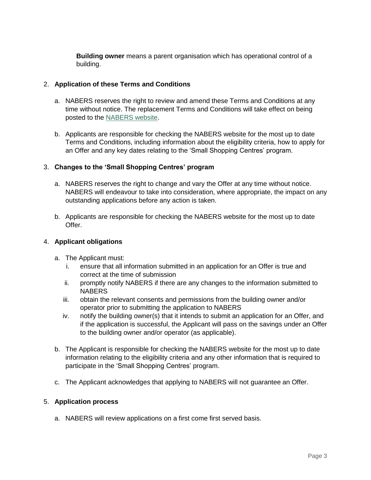**Building owner** means a parent organisation which has operational control of a building.

# 2. **Application of these Terms and Conditions**

- a. NABERS reserves the right to review and amend these Terms and Conditions at any time without notice. The replacement Terms and Conditions will take effect on being posted to the [NABERS website.](https://www.nabers.gov.au/publications/fee-free-ratings-offer-small-shopping-centres)
- b. Applicants are responsible for checking the NABERS website for the most up to date Terms and Conditions, including information about the eligibility criteria, how to apply for an Offer and any key dates relating to the 'Small Shopping Centres' program.

# 3. **Changes to the 'Small Shopping Centres' program**

- a. NABERS reserves the right to change and vary the Offer at any time without notice. NABERS will endeavour to take into consideration, where appropriate, the impact on any outstanding applications before any action is taken.
- b. Applicants are responsible for checking the NABERS website for the most up to date Offer.

#### 4. **Applicant obligations**

- a. The Applicant must:
	- i. ensure that all information submitted in an application for an Offer is true and correct at the time of submission
	- ii. promptly notify NABERS if there are any changes to the information submitted to **NABERS**
	- iii. obtain the relevant consents and permissions from the building owner and/or operator prior to submitting the application to NABERS
	- iv. notify the building owner(s) that it intends to submit an application for an Offer, and if the application is successful, the Applicant will pass on the savings under an Offer to the building owner and/or operator (as applicable).
- b. The Applicant is responsible for checking the NABERS website for the most up to date information relating to the eligibility criteria and any other information that is required to participate in the 'Small Shopping Centres' program.
- c. The Applicant acknowledges that applying to NABERS will not guarantee an Offer.

#### 5. **Application process**

a. NABERS will review applications on a first come first served basis.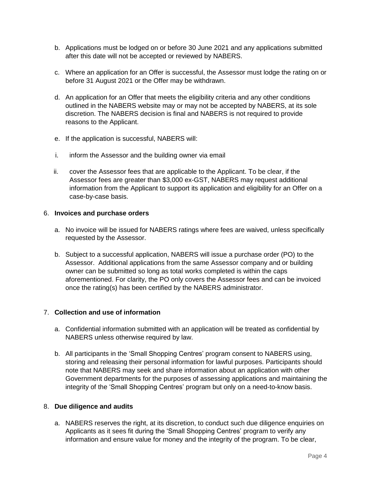- b. Applications must be lodged on or before 30 June 2021 and any applications submitted after this date will not be accepted or reviewed by NABERS.
- c. Where an application for an Offer is successful, the Assessor must lodge the rating on or before 31 August 2021 or the Offer may be withdrawn.
- d. An application for an Offer that meets the eligibility criteria and any other conditions outlined in the NABERS website may or may not be accepted by NABERS, at its sole discretion. The NABERS decision is final and NABERS is not required to provide reasons to the Applicant.
- e. If the application is successful, NABERS will:
- i. inform the Assessor and the building owner via email
- ii. cover the Assessor fees that are applicable to the Applicant. To be clear, if the Assessor fees are greater than \$3,000 ex-GST, NABERS may request additional information from the Applicant to support its application and eligibility for an Offer on a case-by-case basis.

#### 6. **Invoices and purchase orders**

- a. No invoice will be issued for NABERS ratings where fees are waived, unless specifically requested by the Assessor.
- b. Subject to a successful application, NABERS will issue a purchase order (PO) to the Assessor. Additional applications from the same Assessor company and or building owner can be submitted so long as total works completed is within the caps aforementioned. For clarity, the PO only covers the Assessor fees and can be invoiced once the rating(s) has been certified by the NABERS administrator.

# 7. **Collection and use of information**

- a. Confidential information submitted with an application will be treated as confidential by NABERS unless otherwise required by law.
- b. All participants in the 'Small Shopping Centres' program consent to NABERS using, storing and releasing their personal information for lawful purposes. Participants should note that NABERS may seek and share information about an application with other Government departments for the purposes of assessing applications and maintaining the integrity of the 'Small Shopping Centres' program but only on a need-to-know basis.

# 8. **Due diligence and audits**

a. NABERS reserves the right, at its discretion, to conduct such due diligence enquiries on Applicants as it sees fit during the 'Small Shopping Centres' program to verify any information and ensure value for money and the integrity of the program. To be clear,